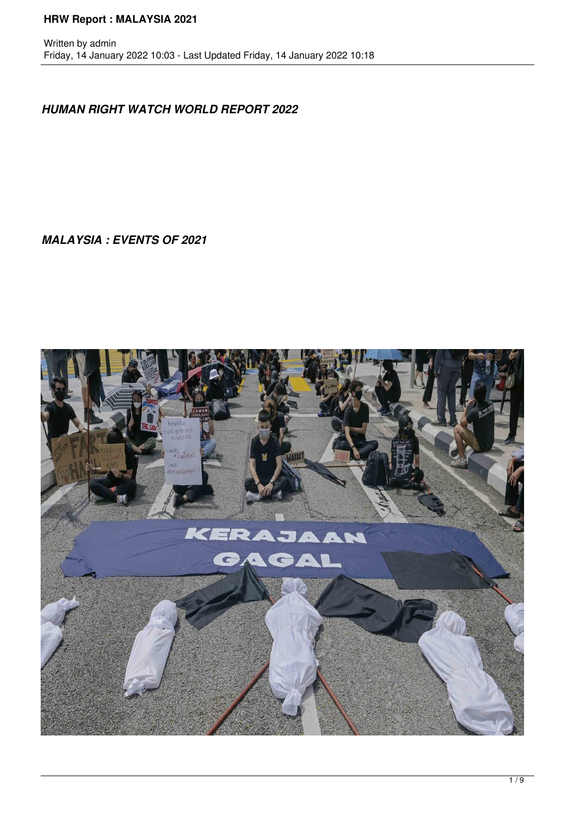#### **HRW Report : MALAYSIA 2021**

#### *HUMAN RIGHT WATCH WORLD REPORT 2022*

*MALAYSIA : EVENTS OF 2021*

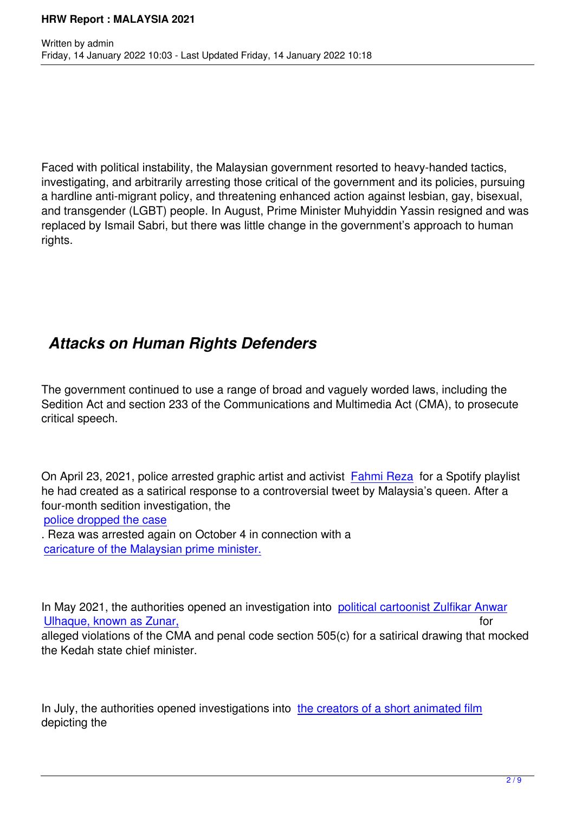Faced with political instability, the Malaysian government resorted to heavy-handed tactics, investigating, and arbitrarily arresting those critical of the government and its policies, pursuing a hardline anti-migrant policy, and threatening enhanced action against lesbian, gay, bisexual, and transgender (LGBT) people. In August, Prime Minister Muhyiddin Yassin resigned and was replaced by Ismail Sabri, but there was little change in the government's approach to human rights.

### *Attacks on Human Rights Defenders*

The government continued to use a range of broad and vaguely worded laws, including the Sedition Act and section 233 of the Communications and Multimedia Act (CMA), to prosecute critical speech.

On April 23, 2021, police arrested graphic artist and activist Fahmi Reza for a Spotify playlist he had created as a satirical response to a controversial tweet by Malaysia's queen. After a four-month sedition investigation, the

#### police dropped the case

Written by administration of the contract of the contract of the contract of the contract of the contract of the contract of the contract of the contract of the contract of the contract of the contract of the contract of t

. Reza was arrested again on October 4 in connection with [a](https://www.hrw.org/news/2021/04/29/troubling-cases-malaysian-government-criminalizing-speech)  caricature of the Malaysian prime minister.

[In May 2021, the authorities opened an inve](https://www.freemalaysiatoday.com/category/nation/2021/10/04/cops-arrest-fahmi-reza-over-keluarga-malaysia-caricature/?__cf_chl_jschl_tk__=pmd_Ib9EyYVGdQBWIcoTxpqR2rmHCnsNqCjem9nMwW_hcIU-1633355874-0-gqNtZGzNAnujcnBszQq9)stigation into political cartoonist Zulfikar Anwar Ulhaque, known as Zunar, for the state of the state of the state of the state of the state of the state of the state of the state of the state of the state of the state of the state of the state of the state of the state o alleged violations of the CMA and penal code section 505(c) for a satirical drawing that mocked the Kedah state chief minister.

In July, the authorities opened investigations into the creators of a short animated film depicting the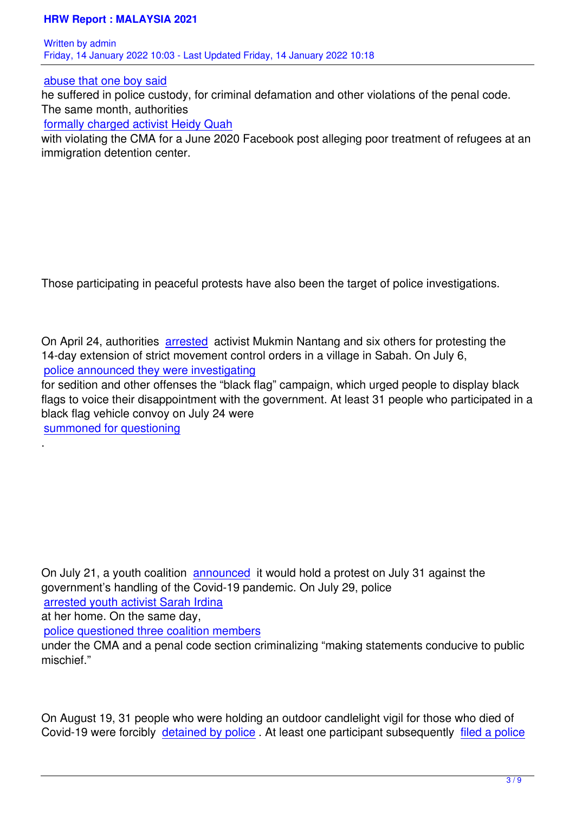Written by administration of the contract of the contract of the contract of the contract of the contract of the contract of the contract of the contract of the contract of the contract of the contract of the contract of t Friday, 14 January 2022 10:03 - Last Updated Friday, 14 January 2022 10:18

abuse that one boy said

he suffered in police custody, for criminal defamation and other violations of the penal code. The same month, authorities

[formally charged activist](https://www.malaysiakini.com/news/578769) Heidy Quah

with violating the CMA for a June 2020 Facebook post alleging poor treatment of refugees at an immigration detention center.

Those participating in peaceful protests have also been the target of police investigations.

On April 24, authorities arrested activist Mukmin Nantang and six others for protesting the 14-day extension of strict movement control orders in a village in Sabah. On July 6, police announced they were investigating for sedition and other of[fenses th](https://www.malaysiakini.com/news/572034)e "black flag" campaign, which urged people to display black flags to voice their disappointment with the government. At least 31 people who participated in a [black flag vehicle convoy on July 24 were](https://www.straitstimes.com/asia/se-asia/malaysia-probes-black-flag-movement-for-alleged-seditious-elements) 

summoned for questioning

.

On July 21, a youth coalition announced it would hold a protest on July 31 against the government's handling of the Covid-19 pandemic. On July 29, police arrested youth activist Sarah Irdina at her home. On the same da[y,](https://www.freemalaysiatoday.com/category/nation/2021/07/21/come-out-and-protest-against-govts-failure-people-urged/?__cf_chl_jschl_tk__=pmd_OU5B2YLoEZLPU86EPLvVyuOcGX9iMO6txVuWnpWyqGI-1630080688-0-gqNtZGzNAnujcnBszQ9R)  police questioned three coalition members [under the CMA and a penal code se](https://www.malaysiakini.com/news/585103)ction criminalizing "making statements conducive to public mischief."

On August 19, 31 people who were holding an outdoor candlelight vigil for those who died of Covid-19 were forcibly detained by police. At least one participant subsequently filed a police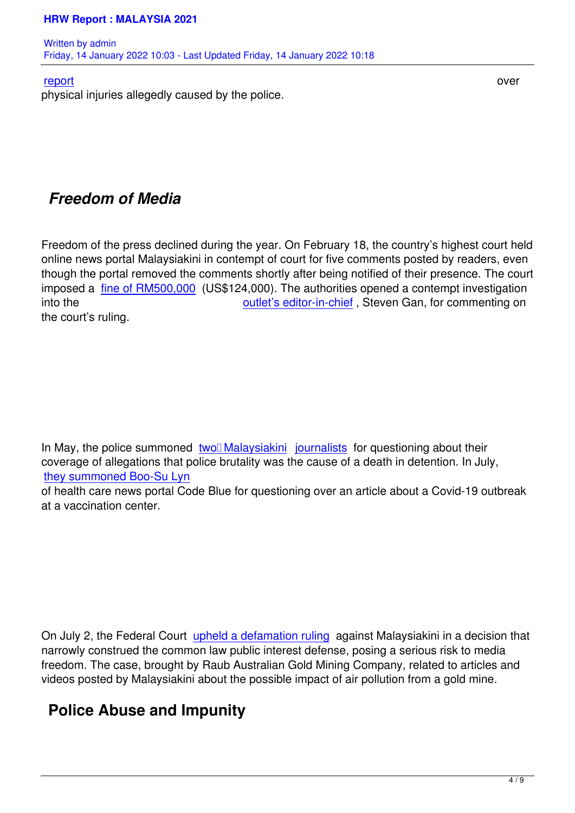#### report and a series over the contract of the contract of the contract of the contract of the contract of the con

physical injuries allegedly caused by the police.

#### *Freedom of Media*

Freedom of the press declined during the year. On February 18, the country's highest court held online news portal Malaysiakini in contempt of court for five comments posted by readers, even though the portal removed the comments shortly after being notified of their presence. The court imposed a fine of RM500,000 (US\$124,000). The authorities opened a contempt investigation into the **outlet's editor-in-chief**, Steven Gan, for commenting on the court's ruling.

In May, the police summoned two□ Malaysiakini journalists for questioning about their coverage of allegations that police brutality was the cause of a death in detention. In July, they summoned Boo-Su Lyn

of health care news portal Cod[e Blue for questio](https://www.malaysiakini.com/news/575071)n[ing over an](https://www.malaysiakini.com/news/575071) article about a Covid-19 outbreak at a vaccination center.

On July 2, the Federal Court upheld a defamation ruling against Malaysiakini in a decision that narrowly construed the common law public interest defense, posing a serious risk to media freedom. The case, brought by Raub Australian Gold Mining Company, related to articles and videos posted by Malaysiakin[i about the possible impact](https://www.malaysiakini.com/news/581379) of air pollution from a gold mine.

# **Police Abuse and Impunity**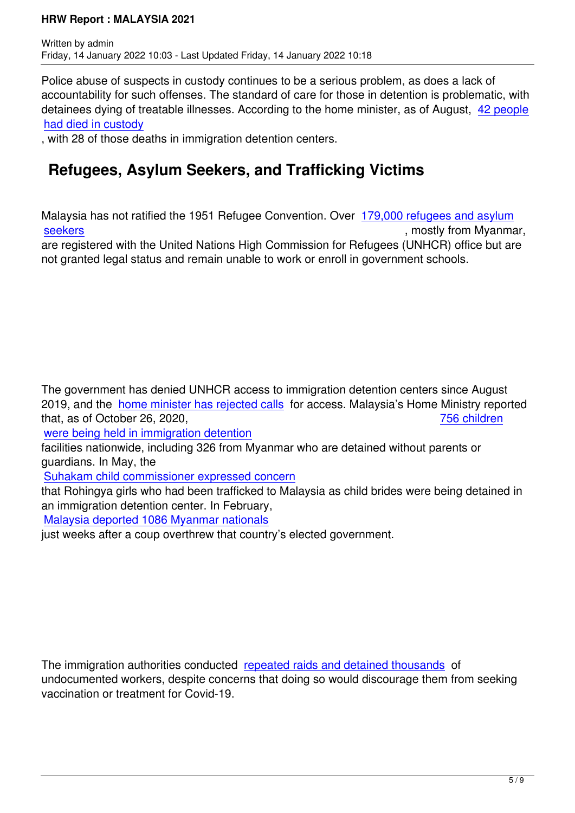Police abuse of suspects in custody continues to be a serious problem, as does a lack of accountability for such offenses. The standard of care for those in detention is problematic, with detainees dying of treatable illnesses. According to the home minister, as of August, 42 people had died in custody

, with 28 of those deaths in immigration detention centers.

### **[Refugees, As](https://www.hrw.org/world-report/2022/country-chapters/%20105%20custodial%20deaths%20in%20past%202%20years%20(malaysiakini.com))ylum Seekers, and Trafficking Victims**

Malaysia has not ratified the 1951 Refugee Convention. Over 179,000 refugees and asylum seekers , mostly from Myanmar, are registered with the United Nations High Commission for Refugees (UNHCR) office but are not granted legal status and remain unable to work or enroll in [government schools.](https://www.unhcr.org/en-us/figures-at-a-glance-in-malaysia.html)

The government has denied UNHCR access to immigration detention centers since August 2019, and the home minister has rejected calls for access. Malaysia's Home Ministry reported that, as of October 26, 2020, the state of the state of  $\overline{756}$  children

were being held in immigration detention

facilities nation[wide, including 326 from Myanma](https://www.malaysiakini.com/news/577718)r who are detained without parents or guardians. In May, the

[Suhakam child commissioner expressed](https://www.thestar.com.my/news/nation/2020/11/04/home-ministry-756-children-held-at-immigration-detention-centres-nationwide-as-of-oct-26) concern

that Rohingya girls who had been trafficked to Malaysia as child brides were being detained in an immigration detention center. In February,

[Malaysia deported 1086 Myanmar nationals](https://www.malaysiakini.com/news/575428)

just weeks after a coup overthrew that country's elected government.

The immigration authorities conducted repeated raids and detained thousands of undocumented workers, despite concerns that doing so would discourage them from seeking vaccination or treatment for Covid-19.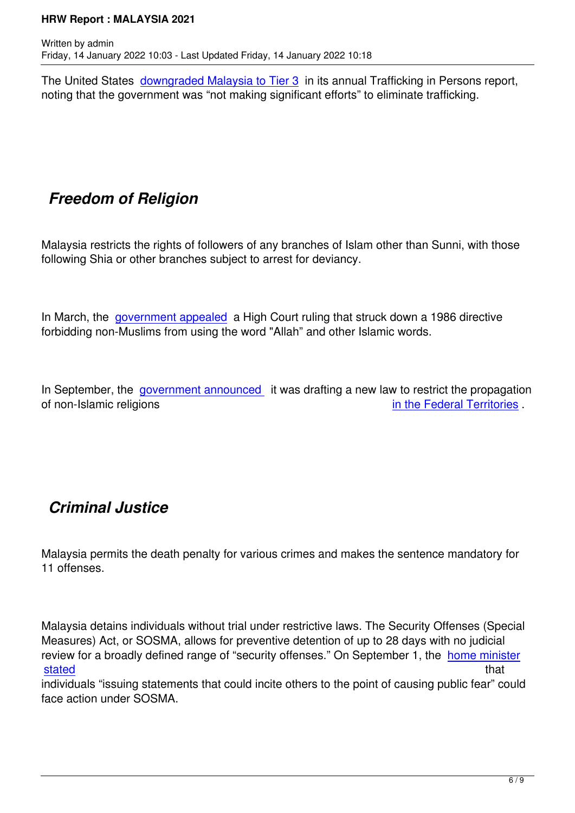The United States downgraded Malaysia to Tier 3 in its annual Trafficking in Persons report, noting that the government was "not making significant efforts" to eliminate trafficking.

# *Freedom of Religion*

Malaysia restricts the rights of followers of any branches of Islam other than Sunni, with those following Shia or other branches subject to arrest for deviancy.

In March, the government appealed a High Court ruling that struck down a 1986 directive forbidding non-Muslims from using the word "Allah" and other Islamic words.

In September, the government announced it was drafting a new law to restrict the propagation of non-Islamic religions **in the Federal Territories** .

# *Criminal Justice*

Malaysia permits the death penalty for various crimes and makes the sentence mandatory for 11 offenses.

Malaysia detains individuals without trial under restrictive laws. The Security Offenses (Special Measures) Act, or SOSMA, allows for preventive detention of up to 28 days with no judicial review for a broadly defined range of "security offenses." On September 1, the home minister stated that the state of the state of the state of the state of the state of the state of the state of the sta

individuals "issuing statements that could incite others to the point of causing public fear" could face action under SOSMA.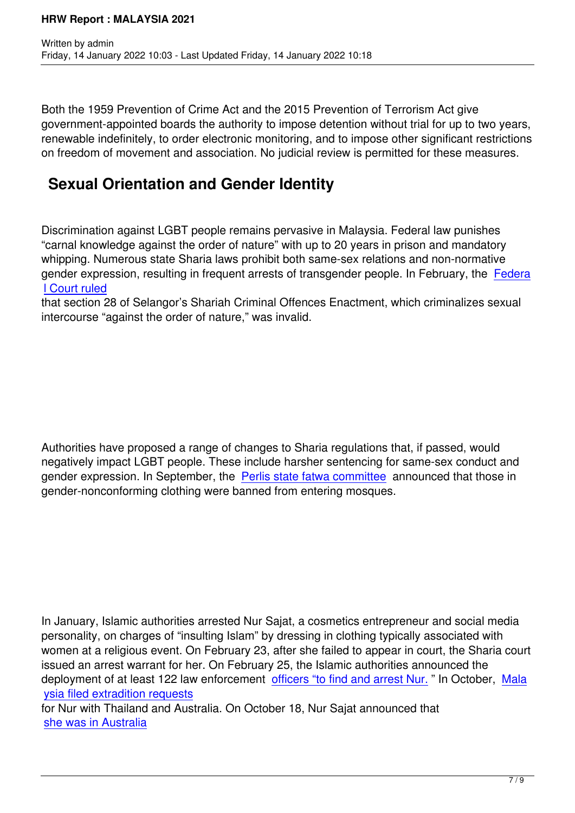Both the 1959 Prevention of Crime Act and the 2015 Prevention of Terrorism Act give government-appointed boards the authority to impose detention without trial for up to two years, renewable indefinitely, to order electronic monitoring, and to impose other significant restrictions on freedom of movement and association. No judicial review is permitted for these measures.

# **Sexual Orientation and Gender Identity**

Discrimination against LGBT people remains pervasive in Malaysia. Federal law punishes "carnal knowledge against the order of nature" with up to 20 years in prison and mandatory whipping. Numerous state Sharia laws prohibit both same-sex relations and non-normative gender expression, resulting in frequent arrests of transgender people. In February, the Federa l Court ruled

that section 28 of Selangor's Shariah Criminal Offences Enactment, which criminalizes sexual intercourse "against the order of nature," was invalid.

Authorities have proposed a range of changes to Sharia regulations that, if passed, would negatively impact LGBT people. These include harsher sentencing for same-sex conduct and gender expression. In September, the Perlis state fatwa committee announced that those in gender-nonconforming clothing were banned from entering mosques.

In January, Islamic authorities arrested Nur Sajat, a cosmetics entrepreneur and social media personality, on charges of "insulting Islam" by dressing in clothing typically associated with women at a religious event. On February 23, after she failed to appear in court, the Sharia court issued an arrest warrant for her. On February 25, the Islamic authorities announced the deployment of at least 122 law enforcement officers "to find and arrest Nur." In October, Mala ysia filed extradition requests

for Nur with Thailand and Australia. On October 18, Nur Sajat announced that she was in Australia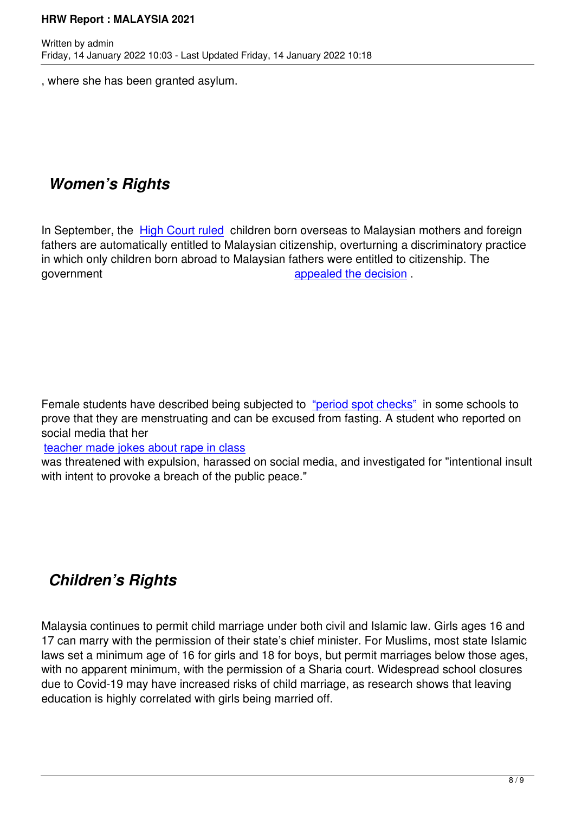, where she has been granted asylum.

# *Women's Rights*

Written by administration of the contract of the contract of the contract of the contract of the contract of the contract of the contract of the contract of the contract of the contract of the contract of the contract of t

In September, the **High Court ruled** children born overseas to Malaysian mothers and foreign fathers are automatically entitled to Malaysian citizenship, overturning a discriminatory practice in which only children born abroad to Malaysian fathers were entitled to citizenship. The government **appealed** the decision .

Female students have described being subjected to "period spot checks" in some schools to prove that they are menstruating and can be excused from fasting. A student who reported on social media that her

teacher made jokes about rape in class

was threatened with expulsion, harassed on social [media, and investigate](https://www.malaymail.com/news/malaysia/2021/04/24/suhakam-period-spot-checks-a-violation-of-childs-rights/1969031)d for "intentional insult with intent to provoke a breach of the public peace."

# *Children's Rights*

Malaysia continues to permit child marriage under both civil and Islamic law. Girls ages 16 and 17 can marry with the permission of their state's chief minister. For Muslims, most state Islamic laws set a minimum age of 16 for girls and 18 for boys, but permit marriages below those ages, with no apparent minimum, with the permission of a Sharia court. Widespread school closures due to Covid-19 may have increased risks of child marriage, as research shows that leaving education is highly correlated with girls being married off.